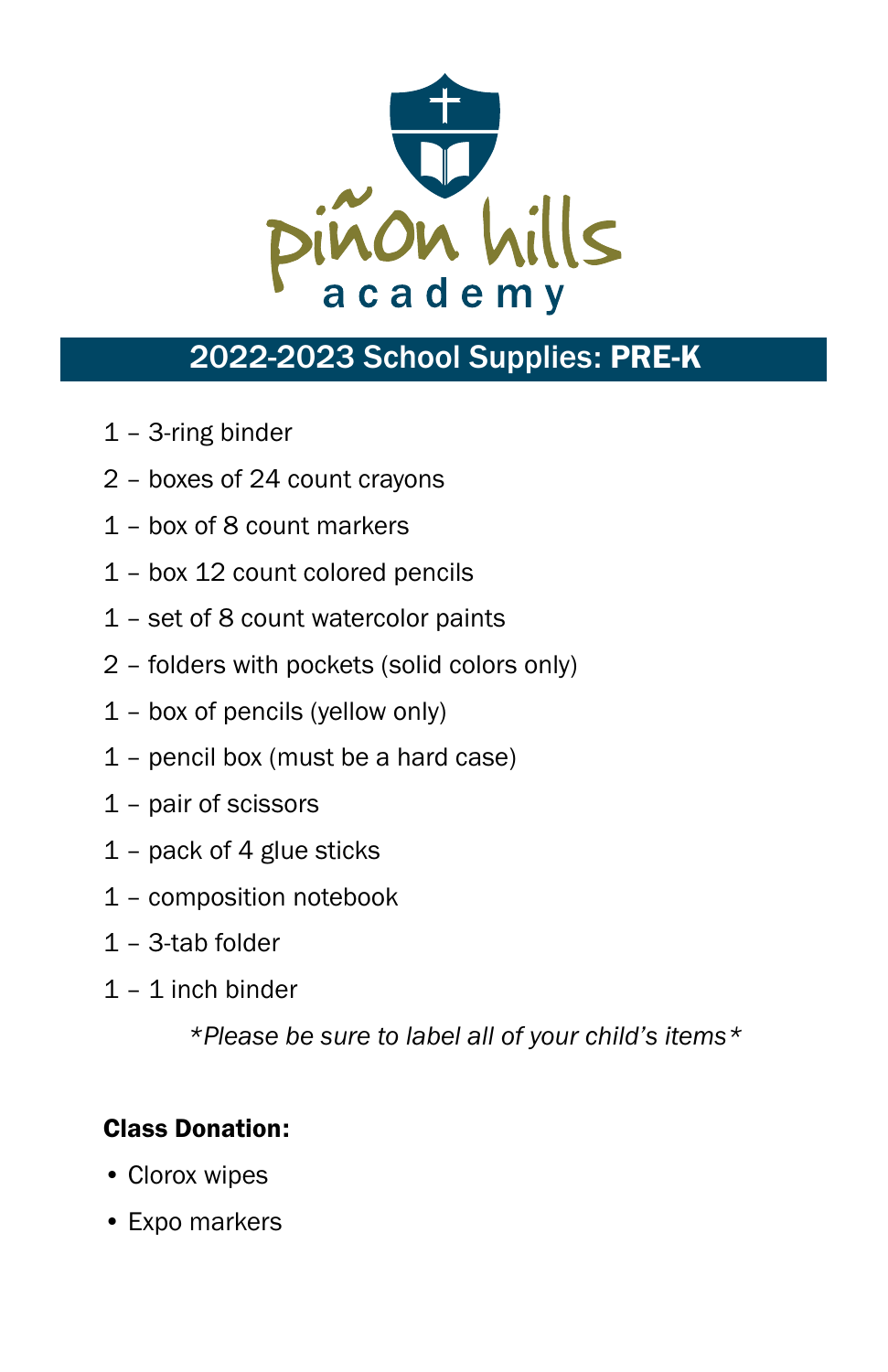

# 2022-2023 School Supplies: PRE-K

- 1 3-ring binder
- 2 boxes of 24 count crayons
- 1 box of 8 count markers
- 1 box 12 count colored pencils
- 1 set of 8 count watercolor paints
- 2 folders with pockets (solid colors only)
- 1 box of pencils (yellow only)
- 1 pencil box (must be a hard case)
- 1 pair of scissors
- 1 pack of 4 glue sticks
- 1 composition notebook
- 1 3-tab folder
- 1 1 inch binder

*\*Please be sure to label all of your child's items\**

#### Class Donation:

- Clorox wipes
- Expo markers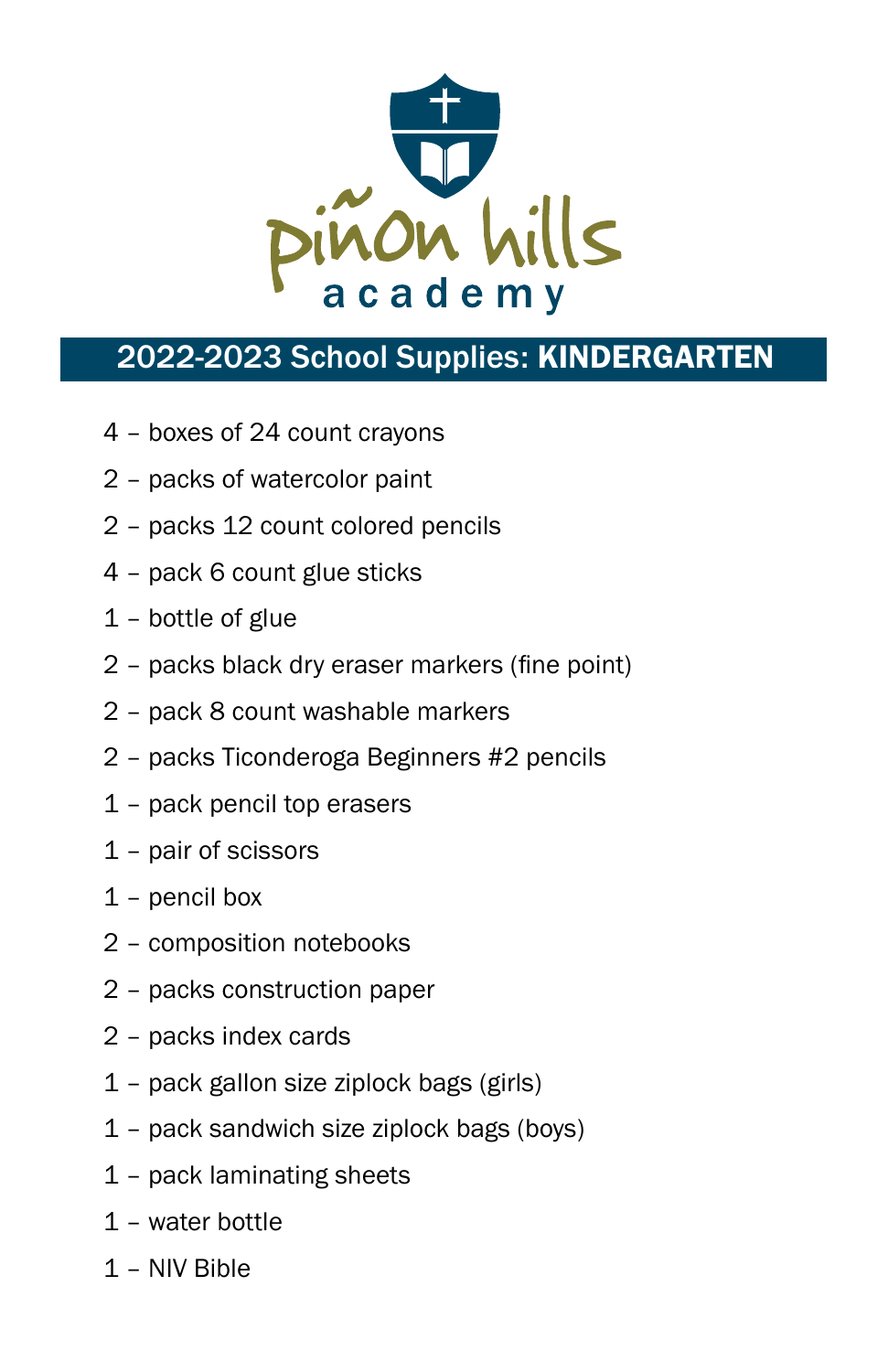

# 2022-2023 School Supplies: KINDERGARTEN

- 4 boxes of 24 count crayons
- 2 packs of watercolor paint
- 2 packs 12 count colored pencils
- 4 pack 6 count glue sticks
- 1 bottle of glue
- 2 packs black dry eraser markers (fine point)
- 2 pack 8 count washable markers
- 2 packs Ticonderoga Beginners #2 pencils
- 1 pack pencil top erasers
- 1 pair of scissors
- 1 pencil box
- 2 composition notebooks
- 2 packs construction paper
- 2 packs index cards
- 1 pack gallon size ziplock bags (girls)
- 1 pack sandwich size ziplock bags (boys)
- 1 pack laminating sheets
- 1 water bottle
- 1 NIV Bible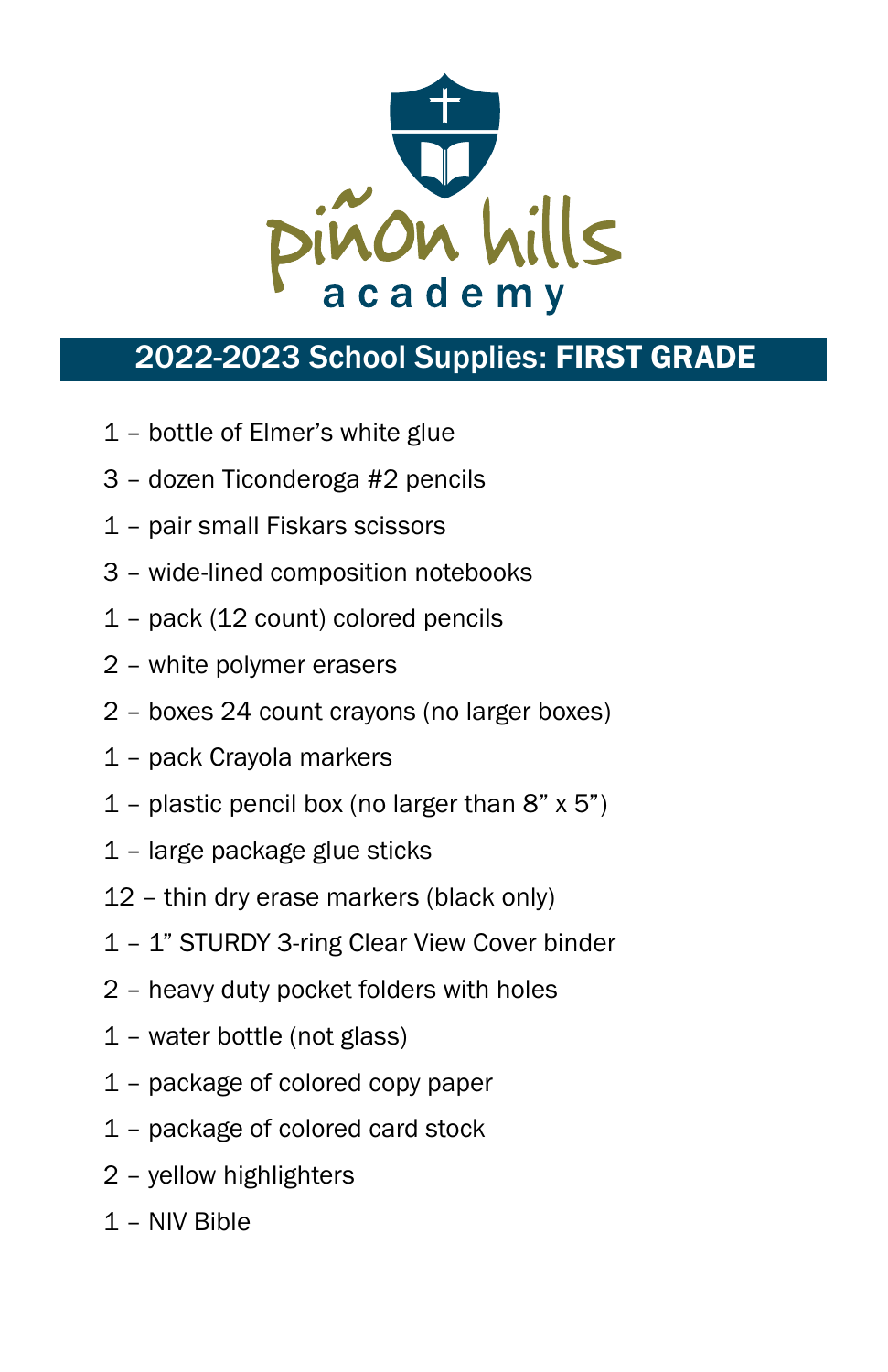

# 2022-2023 School Supplies: FIRST GRADE

- 1 bottle of Elmer's white glue
- 3 dozen Ticonderoga #2 pencils
- 1 pair small Fiskars scissors
- 3 wide-lined composition notebooks
- 1 pack (12 count) colored pencils
- 2 white polymer erasers
- 2 boxes 24 count crayons (no larger boxes)
- 1 pack Crayola markers
- 1 plastic pencil box (no larger than  $8"$  x  $5"$ )
- 1 large package glue sticks
- 12 thin dry erase markers (black only)
- 1 1" STURDY 3-ring Clear View Cover binder
- 2 heavy duty pocket folders with holes
- 1 water bottle (not glass)
- 1 package of colored copy paper
- 1 package of colored card stock
- 2 yellow highlighters
- 1 NIV Bible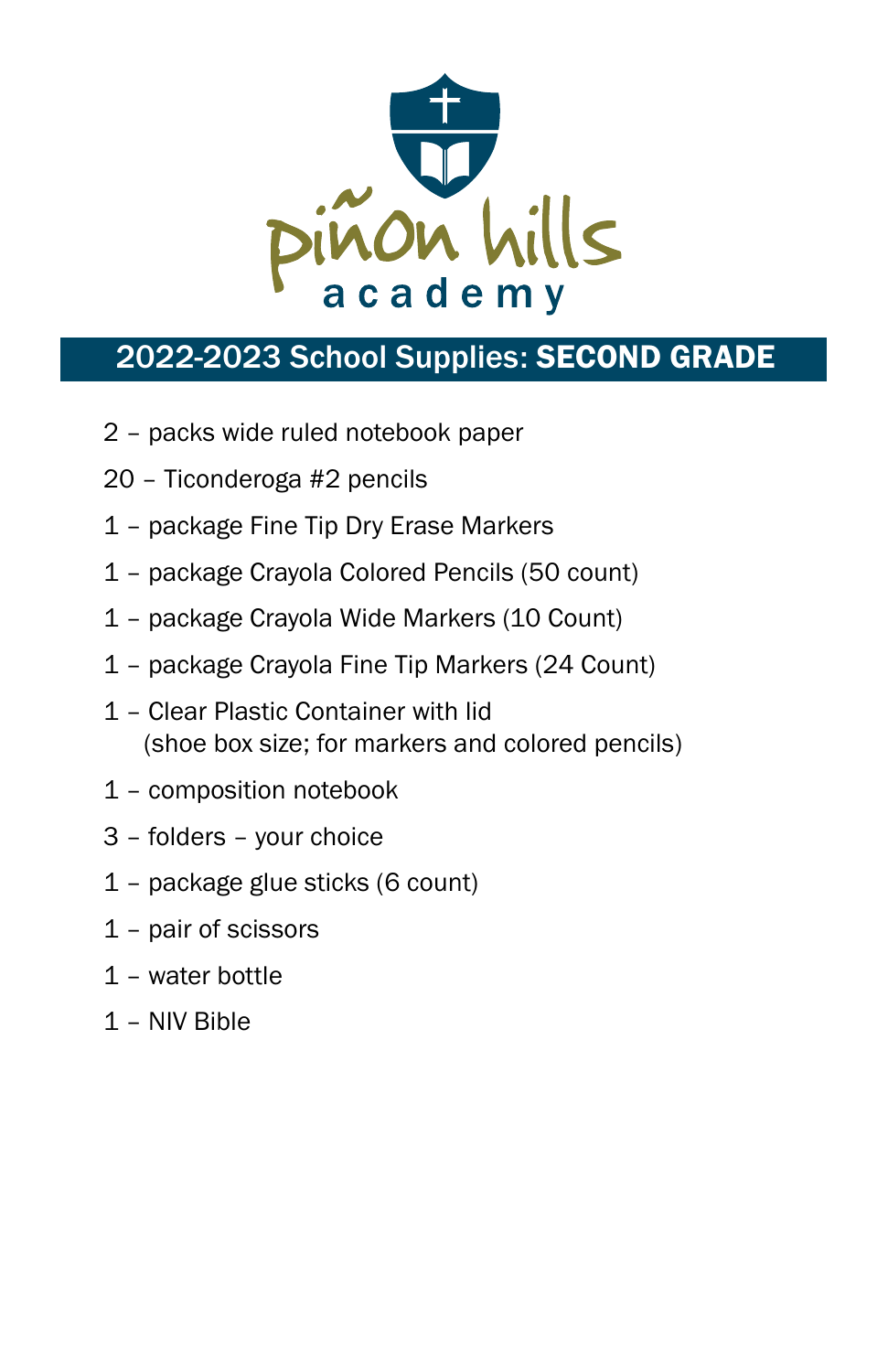

# 2022-2023 School Supplies: SECOND GRADE

- 2 packs wide ruled notebook paper
- 20 Ticonderoga #2 pencils
- 1 package Fine Tip Dry Erase Markers
- 1 package Crayola Colored Pencils (50 count)
- 1 package Crayola Wide Markers (10 Count)
- 1 package Crayola Fine Tip Markers (24 Count)
- 1 Clear Plastic Container with lid (shoe box size; for markers and colored pencils)
- 1 composition notebook
- 3 folders your choice
- 1 package glue sticks (6 count)
- 1 pair of scissors
- 1 water bottle
- 1 NIV Bible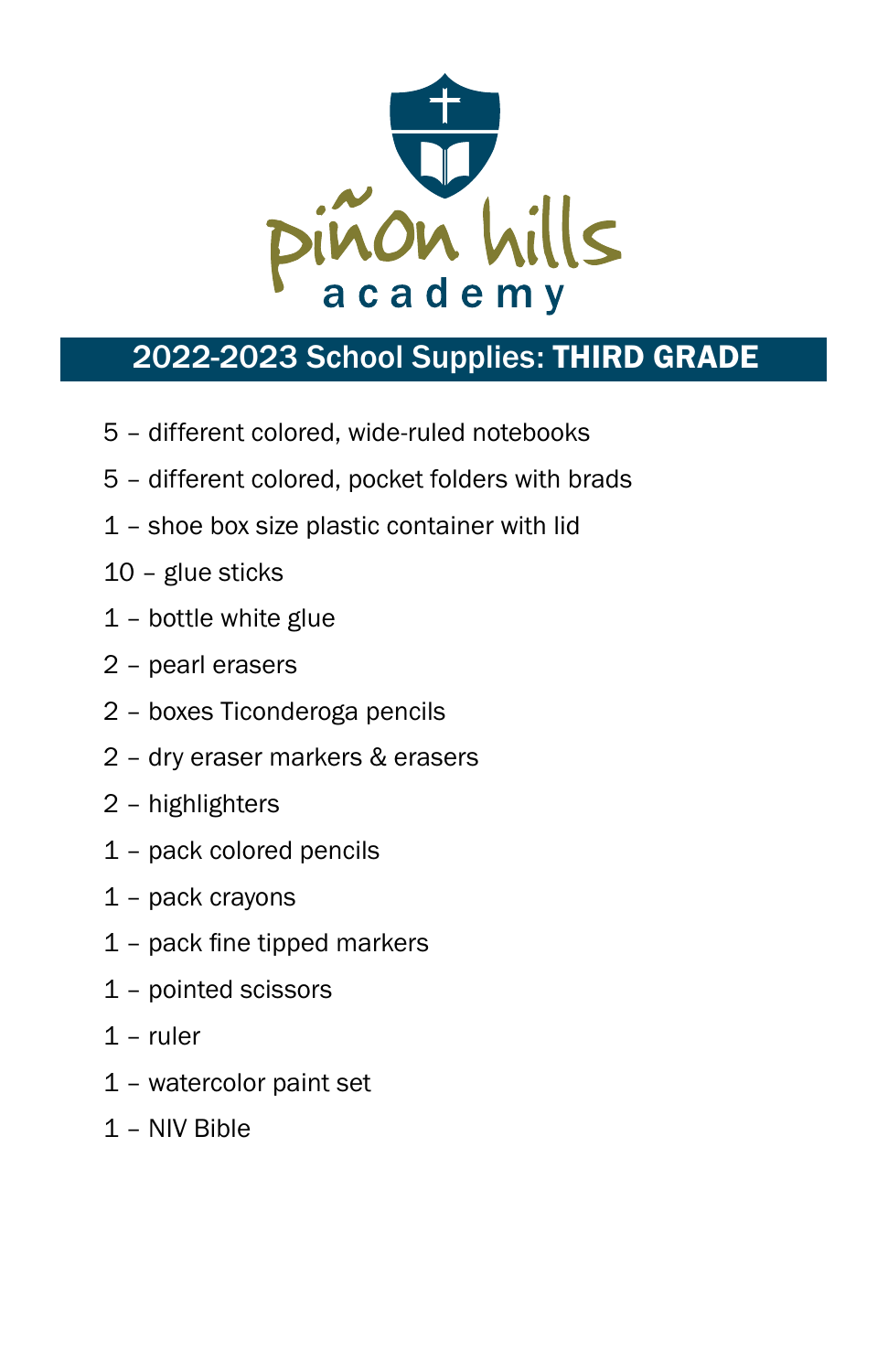

### 2022-2023 School Supplies: THIRD GRADE

- 5 different colored, wide-ruled notebooks
- 5 different colored, pocket folders with brads
- 1 shoe box size plastic container with lid
- 10 glue sticks
- 1 bottle white glue
- 2 pearl erasers
- 2 boxes Ticonderoga pencils
- 2 dry eraser markers & erasers
- 2 highlighters
- 1 pack colored pencils
- 1 pack crayons
- 1 pack fine tipped markers
- 1 pointed scissors
- 1 ruler
- 1 watercolor paint set
- 1 NIV Bible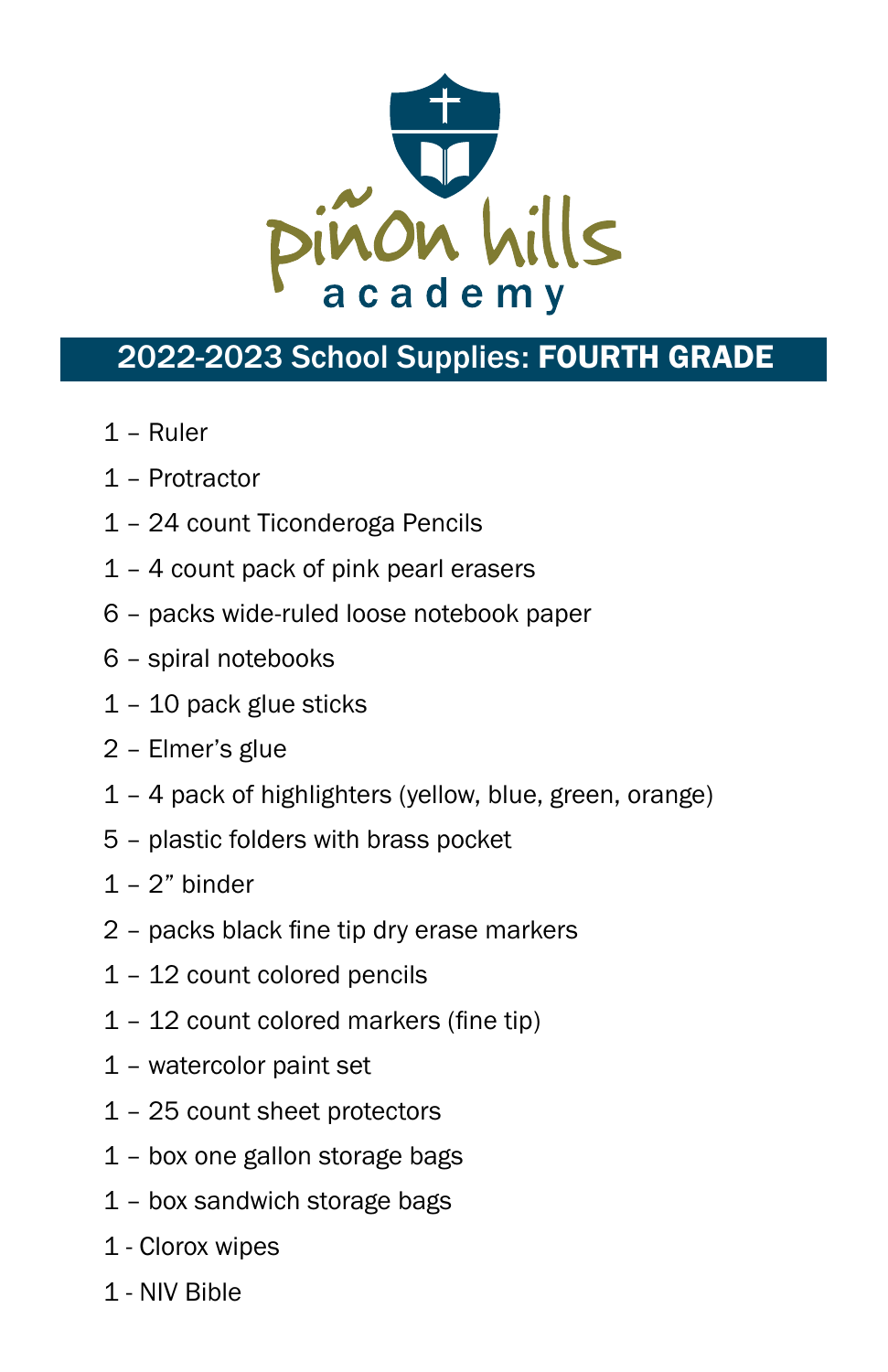

### 2022-2023 School Supplies: FOURTH GRADE

- 1 Ruler
- 1 Protractor
- 1 24 count Ticonderoga Pencils
- 1 4 count pack of pink pearl erasers
- 6 packs wide-ruled loose notebook paper
- 6 spiral notebooks
- 1 10 pack glue sticks
- 2 Elmer's glue
- 1 4 pack of highlighters (yellow, blue, green, orange)
- 5 plastic folders with brass pocket
- $1 2$ " binder
- 2 packs black fine tip dry erase markers
- 1 12 count colored pencils
- 1 12 count colored markers (fine tip)
- 1 watercolor paint set
- 1 25 count sheet protectors
- 1 box one gallon storage bags
- 1 box sandwich storage bags
- 1 Clorox wipes
- 1 NIV Bible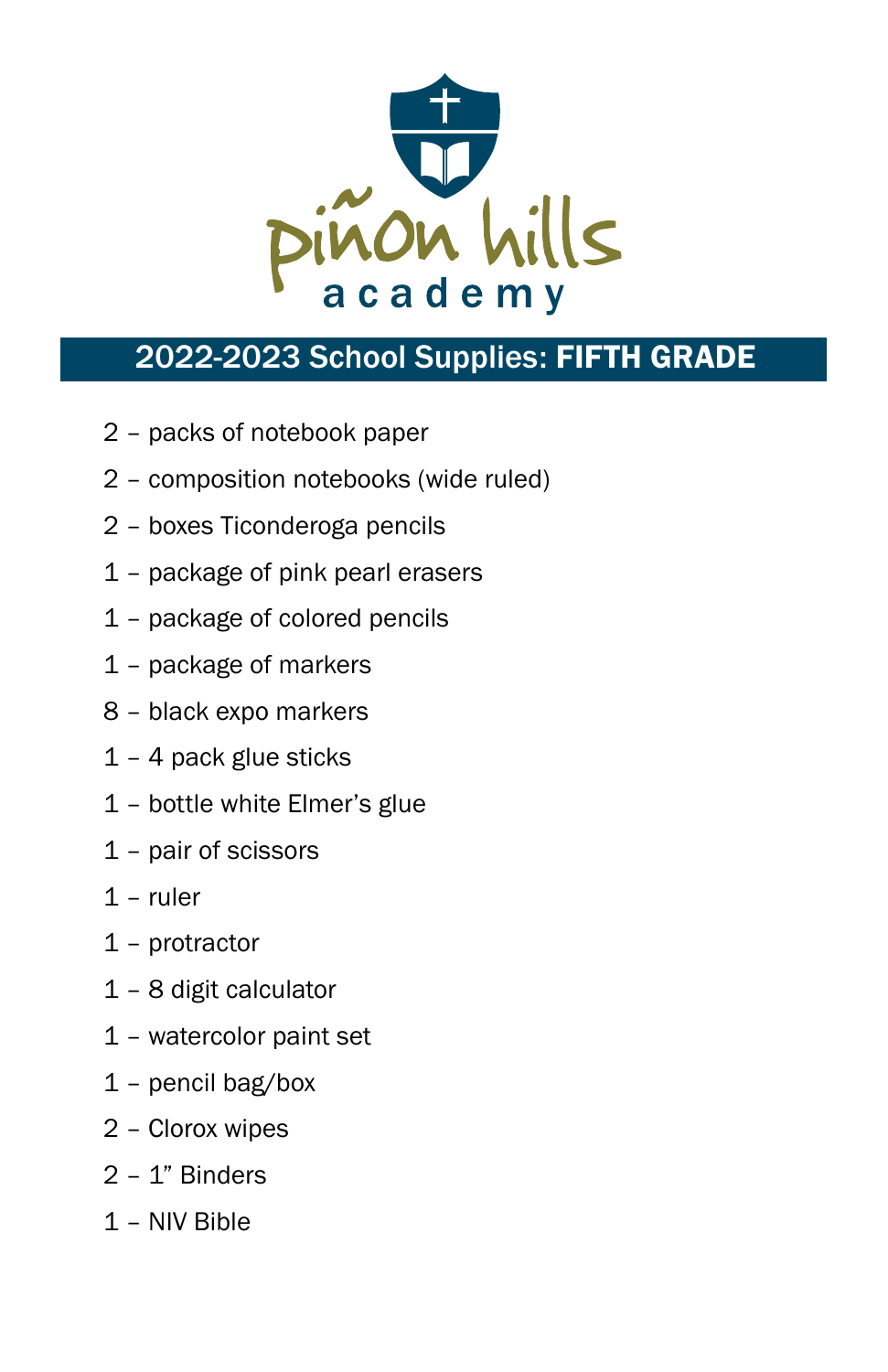

### 2022-2023 School Supplies: FIFTH GRADE

- 2 packs of notebook paper
- 2 composition notebooks (wide ruled)
- 2 boxes Ticonderoga pencils
- 1 package of pink pearl erasers
- 1 package of colored pencils
- 1 package of markers
- 8 black expo markers
- 1 4 pack glue sticks
- 1 bottle white Elmer's glue
- 1 pair of scissors
- 1 ruler
- 1 protractor
- 1 8 digit calculator
- 1 watercolor paint set
- 1 pencil bag/box
- 2 Clorox wipes
- 2 1" Binders
- 1 NIV Bible